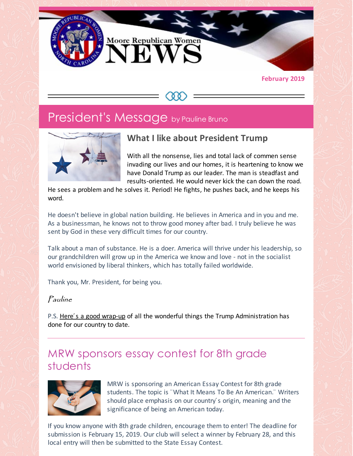

#### **February 2019**

## President's Message by Pauline Bruno



### **What I like about President Trump**

With all the nonsense, lies and total lack of commen sense invading our lives and our homes, it is heartening to know we have Donald Trump as our leader. The man is steadfast and results-oriented. He would never kick the can down the road.

He sees a problem and he solves it. Period! He fights, he pushes back, and he keeps his word.

He doesn't believe in global nation building. He believes in America and in you and me. As a businessman, he knows not to throw good money after bad. I truly believe he was sent by God in these very difficult times for our country.

Talk about a man of substance. He is a doer. America will thrive under his leadership, so our grandchildren will grow up in the America we know and love - not in the socialist world envisioned by liberal thinkers, which has totally failed worldwide.

Thank you, Mr. President, for being you.

#### Pauline

P.S. Here's a good [wrap-up](https://www.thegatewaypundit.com/2019/01/here-it-is-complete-list-of-president-trumps-historic-accomplishments-his-first-two-years-in-office/) of all the wonderful things the Trump Administration has done for our country to date.

### MRW sponsors essay contest for 8th grade students



MRW is sponsoring an American Essay Contest for 8th grade students. The topic is ¨What It Means To Be An American.¨ Writers should place emphasis on our country´s origin, meaning and the significance of being an American today.

If you know anyone with 8th grade children, encourage them to enter! The deadline for submission is February 15, 2019. Our club will select a winner by February 28, and this local entry will then be submitted to the State Essay Contest.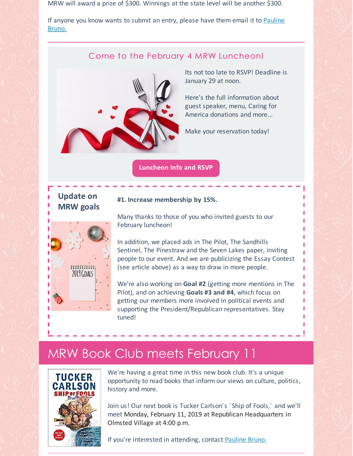MRW will award a prize of \$300. Winnings at the state level will be another \$300.

If [anyone](mailto:pbruno46@gmail.com) you know wants to submit an entry, please have them email it to Pauline Bruno.

#### Come to the February 4 MRW Luncheon!



Its not too late to RSVP! Deadline is January 29 at noon.

Here's the full information about guest speaker, menu, Caring for America donations and more...

Make your reservation today!

**[Luncheon](https://files.constantcontact.com/30571cb6701/2f0b5814-0658-418f-8128-4f5304ff6f56.pdf) Info and RSVP**

### **Update on MRW goals**



#### **#1. Increase membership by 15%.**

Many thanks to those of you who invited guests to our February luncheon!

In addition, we placed ads in The Pilot, The Sandhills Sentinel, The Pinestraw and the Seven Lakes paper, inviting people to our event. And we are publicizing the Essay Contest (see article above) as a way to draw in more people.

We're also working on **Goal #2** (getting more mentions in The Pilot), and on achieving **Goals #3 and #4**, which focus on getting our members more involved in political events and supporting the President/Republican representatives. Stay tuned!

## MRW Book Club meets February 11



We're having a great time in this new book club. It's a unique opportunity to read books that inform our views on culture, politics, history and more.

Join us! Our next book is Tucker Carlson´s ¨Ship of Fools,¨ and we'll meet Monday, February 11, 2019 at Republican Headquarters in Olmsted Village at 4:00 p.m.

If you're interested in attending, contact [Pauline](mailto:pbruno46@gmail.com) Bruno.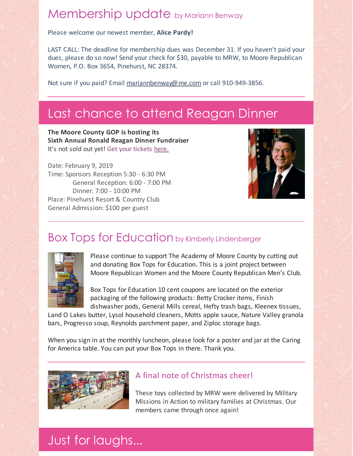# Membership update by Mariann Benway

Please welcome our newest member, **Alice Pardy!**

LAST CALL: The deadline for membership dues was December 31. If you haven't paid your dues, please do so now! Send your check for \$30, payable to MRW, to Moore Republican Women, P.O. Box 3654, Pinehurst, NC 28374.

Not sure if you paid? Email [mariannbenway@me.com](mailto:mariannbenway@me.com) or call 910-949-3856.

# Last chance to attend Reagan Dinner

**The Moore County GOP is hosting its Sixth Annual Ronald Reagan Dinner Fundraiser** It's not sold out yet! Get your tickets [here.](https://www.mcncgop.com/2019-ronald-reagan-dinner.html)

Date: February 9, 2019 Time: Sponsors Reception 5:30 - 6:30 PM General Reception: 6:00 - 7:00 PM Dinner: 7:00 - 10:00 PM Place: Pinehurst Resort & Country Club General Admission: \$100 per guest



## Box Tops for Education by Kimberly Lindenberger



Please continue to support The Academy of Moore County by cutting out and donating Box Tops for Education. This is a joint project between Moore Republican Women and the Moore County Republican Men's Club.

Box Tops for Education 10 cent coupons are located on the exterior packaging of the following products: Betty Crocker items, Finish dishwasher pods, General Mills cereal, Hefty trash bags, Kleenex tissues,

Land O Lakes butter, Lysol household cleaners, Motts apple sauce, Nature Valley granola bars, Progresso soup, Reynolds parchment paper, and Ziploc storage bags.

When you sign in at the monthly luncheon, please look for a poster and jar at the Caring for America table. You can put your Box Tops in there. Thank you.



#### A final note of Christmas cheer!

These toys collected by MRW were delivered by Military Missions in Action to military families at Christmas. Our members came through once again!

## Just for laughs...